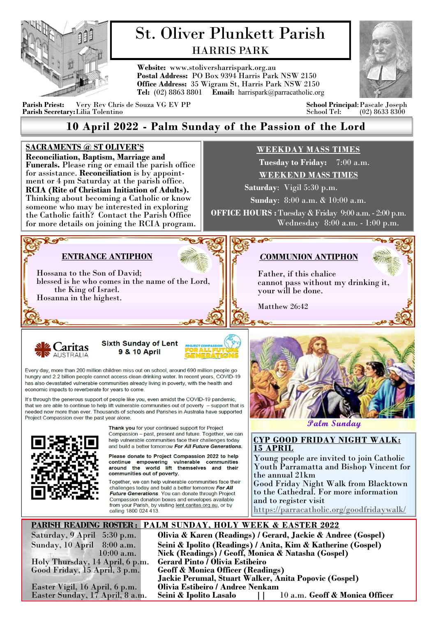

# St. Oliver Plunkett Parish HARRIS PARK

**Website:** www.stoliversharrispark.org.au **Postal Address:** PO Box 9394 Harris Park NSW 2150 **Office Address:** 35 Wigram St, Harris Park NSW 2150 **Tel:** (02) 8863 8801 **Email:** [harrispark@parracatholic.org](mailto:harrispark@parracatholic.org)



**Parish Priest:** Very Rev Chris de Souza VG EV PP **School Principal**:Pascale Joseph **Parish Secretary:** Lilia Tolentino

## **10 April 2022 - Palm Sunday of the Passion of the Lord**

#### **SACRAMENTS @ ST OLIVER'S WEEKDAY MASS TIMES Reconciliation, Baptism, Marriage and Tuesday to Friday:** 7:00 a.m. **Funerals.** Please ring or email the parish office for assistance. **Reconciliation** is by appoint-**WEEKEND MASS TIMES** ment or 4 pm Saturday at the parish office.  **Saturday**: Vigil 5:30 p.m. **RCIA (Rite of Christian Initiation of Adults).**  Thinking about becoming a Catholic or know **Sunday**: 8:00 a.m. & 10:00 a.m. someone who may be interested in exploring **OFFICE HOURS :** Tuesday & Friday 9:00 a.m. - 2:00 p.m. the Catholic faith? Contact the Parish Office Wednesday 8:00 a.m. - 1:00 p.m. for more details on joining the RCIA program. **Prop ENTRANCE ANTIPHON**  *C***OMMUNION ANTIPHON** Hossana to the Son of David; Father, if this chalice blessed is he who comes in the name of the Lord, cannot pass without my drinking it, the King of Israel. your will be done. Hosanna in the highest. Matthew 26:42 **Sixth Sunday of Lent** aritas **9 & 10 April** Every day, more than 200 million children miss out on school, around 690 million people go hungry and 2.2 billion people cannot access clean drinking water. In recent years, COVID-19 has also devastated vulnerable communities already living in poverty, with the health and economic impacts to reverberate for years to come. It's through the generous support of people like you, even amidst the COVID-19 pandemic, that we are able to continue to help lift vulnerable communities out of poverty - support that is needed now more than ever. Thousands of schools and Parishes in Australia have supported Project Compassion over the past year alone. **Palm Sunday**Thank you for your continued support for Project Compassion - past, present and future. Together, we can help vulnerable communities face their challenges today **CYP GOOD FRIDAY NIGHT WALK:**  and build a better tomorrow For All Future Generations. **15 APRIL** Please donate to Project Compassion 2022 to help Young people are invited to join Catholic continue empowering vulnerable communities<br>around the world lift themselves and their Youth Parramatta and Bishop Vincent for communities out of poverty. the annual 21km Together, we can help vulnerable communities face their Good Friday Night Walk from Blacktown challenges today and build a better tomorrow For All to the Cathedral. For more information Future Generations. You can donate through Project Compassion donation boxes and envelopes available and to register visit from your Parish, by visiting lent.caritas.org.au, or by <https://parracatholic.org/goodfridaywalk/> calling 1800 024 413 **PARISH READING ROSTER : PALM SUNDAY, HOLY WEEK & EASTER 2022** Saturday, 9 April 5:30 p.m. **Olivia & Karen (Readings) / Gerard, Jackie & Andree (Gospel)**

Holy Thursday, 14 April, 6 p.m.<br>Good Friday, 15 April, 3 p.m.

Sunday, 10 April 8:00 a.m. **Seini & Ipolito (Readings) / Anita, Kim & Katherine (Gospel)** Nick (Readings) / Geoff, Monica & Natasha (Gospel)<br>Gerard Pinto / Olivia Estibeiro Geoff & Monica Officer (Readings) **Jackie Perumal, Stuart Walker, Anita Popovic (Gospel)** Easter Vigil, 16 April, 6 p.m. **Olivia Estibeiro / Andree Nenkam Seini & Ipolito Lasalo || 10 a.m. Geoff & Monica Officer**